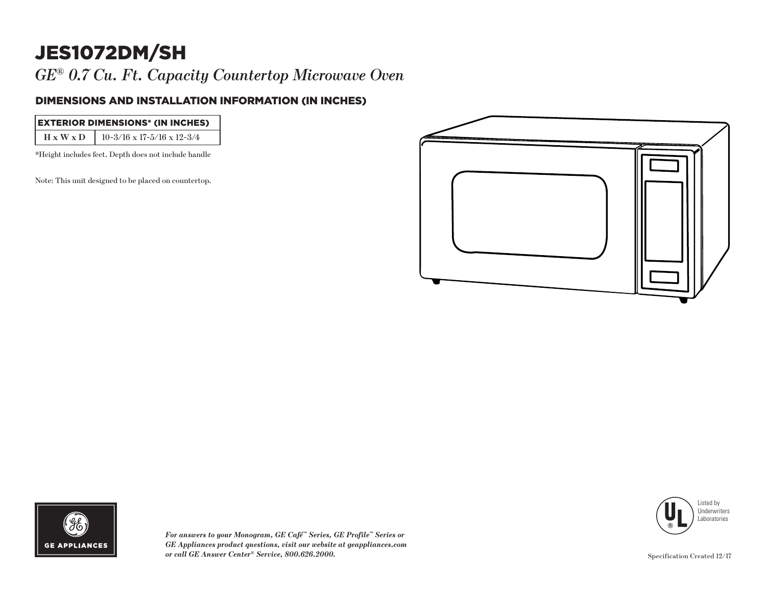# JES1072DM/SH

*GE® 0.7 Cu. Ft. Capacity Countertop Microwave Oven* 

### DIMENSIONS AND INSTALLATION INFORMATION (IN INCHES)

| <b>EXTERIOR DIMENSIONS* (IN INCHES)</b>            |
|----------------------------------------------------|
| $H \times W \times D$   10-3/16 x 17-5/16 x 12-3/4 |

\*Height includes feet. Depth does not include handle

Note: This unit designed to be placed on countertop.







*For answers to your Monogram, GE Café™ Series, GE Profile™ Series or GE Appliances product questions, visit our website at geappliances.com or call GE Answer Center® Service, 800.626.2000.*